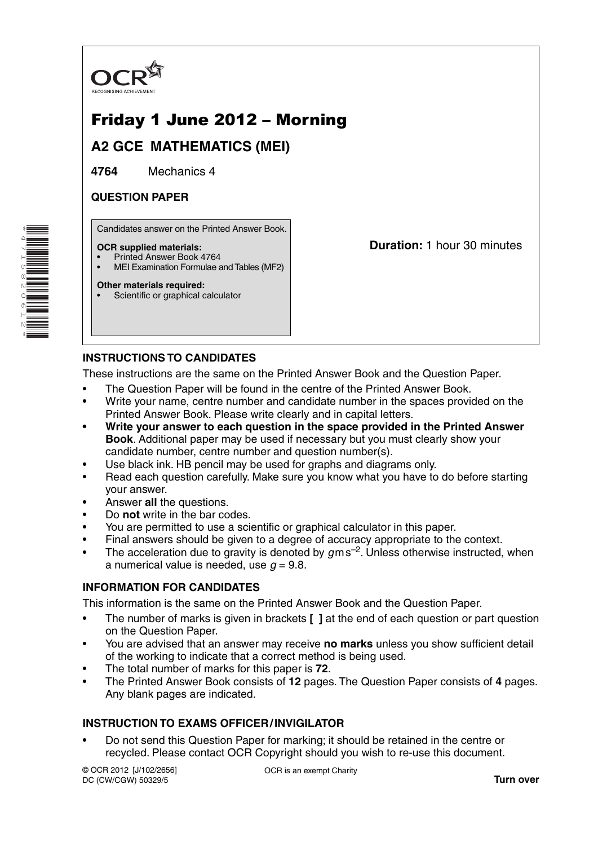

# Friday 1 June 2012 – Morning

## **A2 GCE MATHEMATICS (MEI)**

**4764** Mechanics 4

### **QUESTION PAPER**

Candidates answer on the Printed Answer Book.

#### **OCR supplied materials:**

- Printed Answer Book 4764
- MEI Examination Formulae and Tables (MF2)

#### **Other materials required:**

Scientific or graphical calculator

**Duration:** 1 hour 30 minutes

### **INSTRUCTIONS TO CANDIDATES**

These instructions are the same on the Printed Answer Book and the Question Paper.

- The Question Paper will be found in the centre of the Printed Answer Book.
- Write your name, centre number and candidate number in the spaces provided on the Printed Answer Book. Please write clearly and in capital letters.
- **Write your answer to each question in the space provided in the Printed Answer Book**. Additional paper may be used if necessary but you must clearly show your candidate number, centre number and question number(s).
- Use black ink. HB pencil may be used for graphs and diagrams only.
- Read each question carefully. Make sure you know what you have to do before starting your answer.
- Answer **all** the questions.
- Do **not** write in the bar codes.
- You are permitted to use a scientific or graphical calculator in this paper.
- Final answers should be given to a degree of accuracy appropriate to the context.
- The acceleration due to gravity is denoted by  $g$ m s<sup>-2</sup>. Unless otherwise instructed, when a numerical value is needed, use  $q = 9.8$ .

### **INFORMATION FOR CANDIDATES**

This information is the same on the Printed Answer Book and the Question Paper.

- The number of marks is given in brackets **[ ]** at the end of each question or part question on the Question Paper.
- You are advised that an answer may receive **no marks** unless you show sufficient detail of the working to indicate that a correct method is being used.
- The total number of marks for this paper is **72**.
- The Printed Answer Book consists of **12** pages. The Question Paper consists of **4** pages. Any blank pages are indicated.

### **INSTRUCTION TO EXAMS OFFICER / INVIGILATOR**

• Do not send this Question Paper for marking; it should be retained in the centre or recycled. Please contact OCR Copyright should you wish to re-use this document.

© OCR 2012 [J/102/2656] DC (CW/CGW) 50329/5

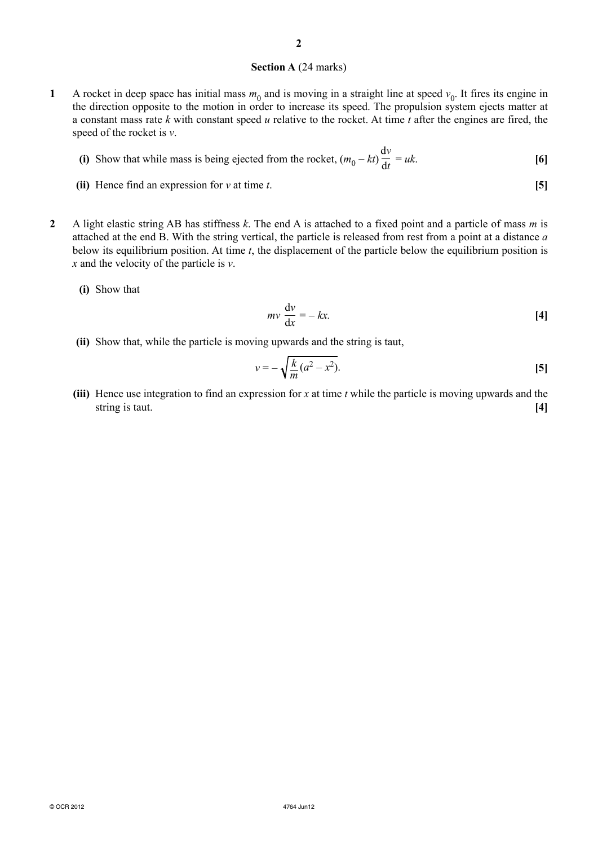#### **Section A** (24 marks)

**1** A rocket in deep space has initial mass  $m_0$  and is moving in a straight line at speed  $v_0$ . It fires its engine in the direction opposite to the motion in order to increase its speed. The propulsion system ejects matter at a constant mass rate *k* with constant speed *u* relative to the rocket. At time *t* after the engines are fired, the speed of the rocket is *v*.

(i) Show that while mass is being ejected from the rocket, 
$$
(m_0 - kt)\frac{dv}{dt} = uk
$$
. [6]

- **(ii)** Hence find an expression for *v* at time *t*. **[5]**
- **2** A light elastic string AB has stiffness *k*. The end A is attached to a fixed point and a particle of mass *m* is attached at the end B. With the string vertical, the particle is released from rest from a point at a distance *a* below its equilibrium position. At time *t*, the displacement of the particle below the equilibrium position is *x* and the velocity of the particle is *v*.
	- **(i)** Show that

$$
mv\frac{dv}{dx} = -kx.\t\t[4]
$$

 **(ii)** Show that, while the particle is moving upwards and the string is taut,

$$
v = -\sqrt{\frac{k}{m}(a^2 - x^2)}.
$$
 [5]

 **(iii)** Hence use integration to find an expression for *x* at time *t* while the particle is moving upwards and the string is taut. **[4]**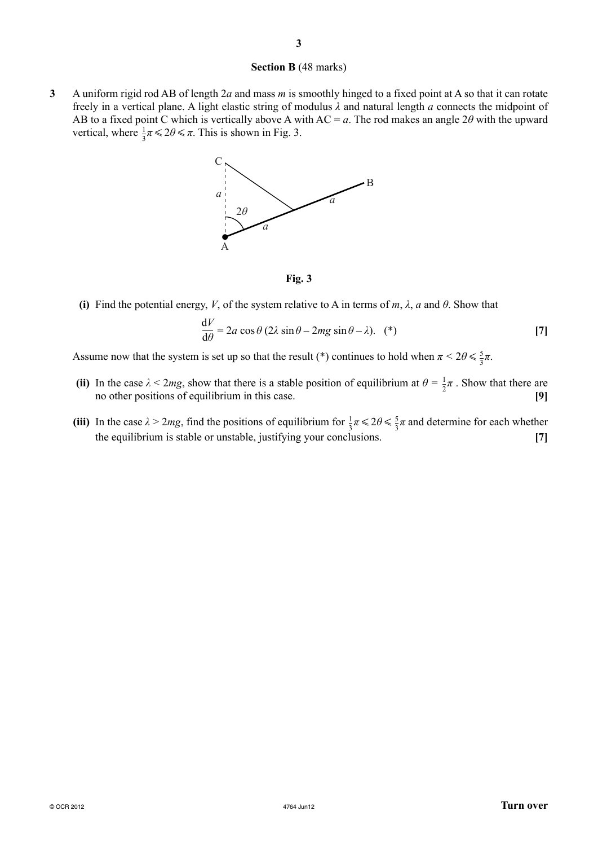#### **Section B** (48 marks)

**3** A uniform rigid rod AB of length 2*a* and mass *m* is smoothly hinged to a fixed point at A so that it can rotate freely in a vertical plane. A light elastic string of modulus *λ* and natural length *a* connects the midpoint of AB to a fixed point C which is vertically above A with AC = *a*. The rod makes an angle 2*θ* with the upward vertical, where  $\frac{1}{3}\pi \leq 2\theta \leq \pi$ . This is shown in Fig. 3.



**Fig. 3**

**(i)** Find the potential energy, *V*, of the system relative to A in terms of *m*,  $\lambda$ , *a* and  $\theta$ . Show that

$$
\frac{dV}{d\theta} = 2a\cos\theta (2\lambda\sin\theta - 2mg\sin\theta - \lambda). (*)
$$
 [7]

Assume now that the system is set up so that the result (\*) continues to hold when  $\pi < 2\theta \le \frac{5}{3}\pi$ .

- (ii) In the case  $\lambda < 2mg$ , show that there is a stable position of equilibrium at  $\theta = \frac{1}{2}\pi$ . Show that there are no other positions of equilibrium in this case. **[9]**
- (iii) In the case  $\lambda > 2mg$ , find the positions of equilibrium for  $\frac{1}{3}\pi \leq 2\theta \leq \frac{5}{3}\pi$  and determine for each whether the equilibrium is stable or unstable, justifying your conclusions. **[7]**